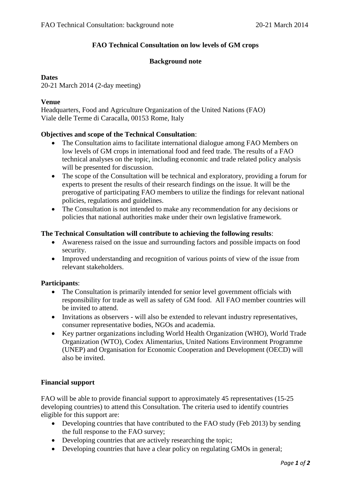# **FAO Technical Consultation on low levels of GM crops**

## **Background note**

### **Dates**

20-21 March 2014 (2-day meeting)

### **Venue**

Headquarters, Food and Agriculture Organization of the United Nations (FAO) Viale delle Terme di Caracalla, 00153 Rome, Italy

#### **Objectives and scope of the Technical Consultation**:

- The Consultation aims to facilitate international dialogue among FAO Members on low levels of GM crops in international food and feed trade. The results of a FAO technical analyses on the topic, including economic and trade related policy analysis will be presented for discussion.
- The scope of the Consultation will be technical and exploratory, providing a forum for experts to present the results of their research findings on the issue. It will be the prerogative of participating FAO members to utilize the findings for relevant national policies, regulations and guidelines.
- The Consultation is not intended to make any recommendation for any decisions or policies that national authorities make under their own legislative framework.

#### **The Technical Consultation will contribute to achieving the following results**:

- Awareness raised on the issue and surrounding factors and possible impacts on food security.
- Improved understanding and recognition of various points of view of the issue from relevant stakeholders.

#### **Participants**:

- The Consultation is primarily intended for senior level government officials with responsibility for trade as well as safety of GM food. All FAO member countries will be invited to attend.
- Invitations as observers will also be extended to relevant industry representatives, consumer representative bodies, NGOs and academia.
- Key partner organizations including World Health Organization (WHO), World Trade Organization (WTO), Codex Alimentarius, United Nations Environment Programme (UNEP) and Organisation for Economic Cooperation and Development (OECD) will also be invited.

## **Financial support**

FAO will be able to provide financial support to approximately 45 representatives (15-25 developing countries) to attend this Consultation. The criteria used to identify countries eligible for this support are:

- Developing countries that have contributed to the FAO study (Feb 2013) by sending the full response to the FAO survey;
- Developing countries that are actively researching the topic;
- Developing countries that have a clear policy on regulating GMOs in general;